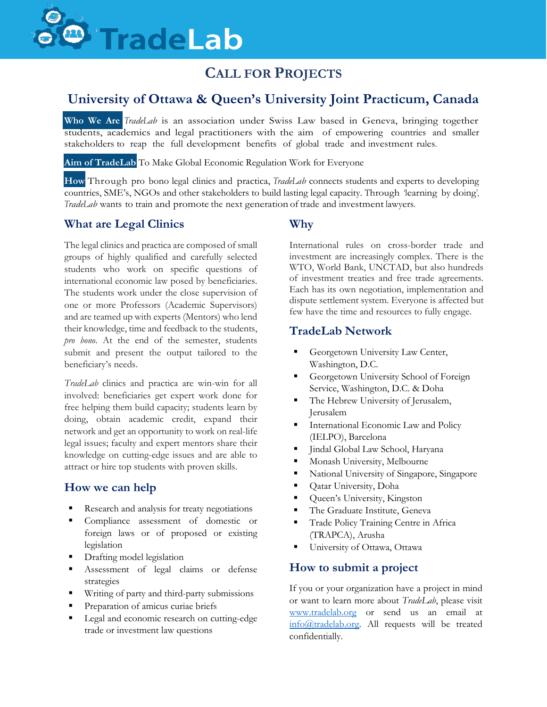# <sup>n</sup> Trade Lab

# **CALL FOR PROJECTS**

## **University of Ottawa & Queen's University Joint Practicum, Canada**

**Who We Are** *TradeLab* is an association under Swiss Law based in Geneva, bringing together students, academics and legal practitioners with the aim of empowering countries and smaller stakeholders to reap the full development benefits of global trade and investment rules.

**Aim of TradeLab** To Make Global Economic Regulation Work for Everyone

**How** Through pro bono legal clinics and practica, *TradeLab* connects students and experts to developing countries, SME's, NGOs and other stakeholders to build lasting legal capacity. Through 'learning by doing', *TradeLab* wants to train and promote the next generation of trade and investment lawyers.

## **What are Legal Clinics**

The legal clinics and practica are composed of small groups of highly qualified and carefully selected students who work on specific questions of international economic law posed by beneficiaries. The students work under the close supervision of one or more Professors (Academic Supervisors) and are teamed up with experts (Mentors) who lend their knowledge, time and feedback to the students, *pro bono*. At the end of the semester, students submit and present the output tailored to the beneficiary's needs.

*TradeLab* clinics and practica are win-win for all involved: beneficiaries get expert work done for free helping them build capacity; students learn by doing, obtain academic credit, expand their network and get an opportunity to work on real-life legal issues; faculty and expert mentors share their knowledge on cutting-edge issues and are able to attract or hire top students with proven skills.

## **How we can help**

- Research and analysis for treaty negotiations
- **Compliance** assessment of domestic or foreign laws or of proposed or existing legislation
- **Drafting model legislation**
- Assessment of legal claims or defense strategies
- **Writing of party and third-party submissions**
- Preparation of amicus curiae briefs
- **Legal and economic research on cutting-edge** trade or investment law questions

## **Why**

International rules on cross-border trade and investment are increasingly complex. There is the WTO, World Bank, UNCTAD, but also hundreds of investment treaties and free trade agreements. Each has its own negotiation, implementation and dispute settlement system. Everyone is affected but few have the time and resources to fully engage.

## **TradeLab Network**

- Georgetown University Law Center, Washington, D.C.
- Georgetown University School of Foreign Service, Washington, D.C. & Doha
- The Hebrew University of Jerusalem, Jerusalem
- International Economic Law and Policy (IELPO), Barcelona
- Jindal Global Law School, Haryana
- **Monash University, Melbourne**
- National University of Singapore, Singapore
- **Qatar University**, Doha
- **Queen's University, Kingston**
- The Graduate Institute, Geneva
- **Trade Policy Training Centre in Africa** (TRAPCA), Arusha
- University of Ottawa, Ottawa

## **How to submit a project**

If you or your organization have a project in mind or want to learn more about *TradeLab*, please visit [www.tradelab.org](http://www.tradelab.org/) or send us an email at [info@tradelab.org.](mailto:info@tradelab.org) All requests will be treated confidentially.